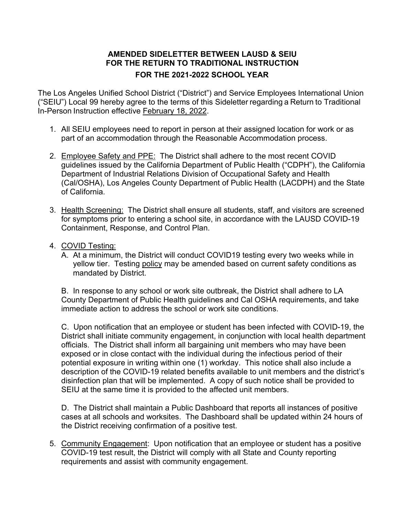## **AMENDED SIDELETTER BETWEEN LAUSD & SEIU FOR THE RETURN TO TRADITIONAL INSTRUCTION FOR THE 2021-2022 SCHOOL YEAR**

The Los Angeles Unified School District ("District") and Service Employees International Union ("SEIU") Local 99 hereby agree to the terms of this Sideletter regarding a Return to Traditional In-Person Instruction effective February 18, 2022.

- 1. All SEIU employees need to report in person at their assigned location for work or as part of an accommodation through the Reasonable Accommodation process.
- 2. Employee Safety and PPE: The District shall adhere to the most recent COVID guidelines issued by the California Department of Public Health ("CDPH"), the California Department of Industrial Relations Division of Occupational Safety and Health (Cal/OSHA), Los Angeles County Department of Public Health (LACDPH) and the State of California.
- 3. Health Screening: The District shall ensure all students, staff, and visitors are screened for symptoms prior to entering a school site, in accordance with the LAUSD COVID-19 Containment, Response, and Control Plan.
- 4. COVID Testing:
	- A. At a minimum, the District will conduct COVID19 testing every two weeks while in yellow tier. Testing policy may be amended based on current safety conditions as mandated by District.

B. In response to any school or work site outbreak, the District shall adhere to LA County Department of Public Health guidelines and Cal OSHA requirements, and take immediate action to address the school or work site conditions.

C. Upon notification that an employee or student has been infected with COVID-19, the District shall initiate community engagement, in conjunction with local health department officials. The District shall inform all bargaining unit members who may have been exposed or in close contact with the individual during the infectious period of their potential exposure in writing within one (1) workday. This notice shall also include a description of the COVID-19 related benefits available to unit members and the district's disinfection plan that will be implemented. A copy of such notice shall be provided to SEIU at the same time it is provided to the affected unit members.

D. The District shall maintain a Public Dashboard that reports all instances of positive cases at all schools and worksites. The Dashboard shall be updated within 24 hours of the District receiving confirmation of a positive test.

5. Community Engagement: Upon notification that an employee or student has a positive COVID-19 test result, the District will comply with all State and County reporting requirements and assist with community engagement.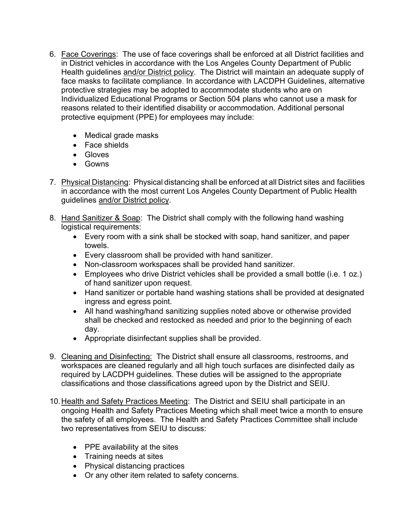- 6. Face Coverings: The use of face coverings shall be enforced at all District facilities and in District vehicles in accordance with the Los Angeles County Department of Public Health guidelines and/or District policy. The District will maintain an adequate supply of face masks to facilitate compliance. In accordance with LACDPH Guidelines, alternative protective strategies may be adopted to accommodate students who are on Individualized Educational Programs or Section 504 plans who cannot use a mask for reasons related to their identified disability or accommodation. Additional personal protective equipment (PPE) for employees may include:
	- Medical grade masks
	- Face shields
	- Gloves
	- Gowns
- 7. Physical Distancing: Physical distancing shall be enforced at all District sites and facilities in accordance with the most current Los Angeles County Department of Public Health guidelines and/or District policy.
- 8. Hand Sanitizer & Soap: The District shall comply with the following hand washing logistical requirements:
	- Every room with a sink shall be stocked with soap, hand sanitizer, and paper towels.
	- Every classroom shall be provided with hand sanitizer.
	- Non-classroom workspaces shall be provided hand sanitizer.
	- Employees who drive District vehicles shall be provided a small bottle (i.e. 1 oz.) of hand sanitizer upon request.
	- Hand sanitizer or portable hand washing stations shall be provided at designated ingress and egress point.
	- All hand washing/hand sanitizing supplies noted above or otherwise provided shall be checked and restocked as needed and prior to the beginning of each day.
	- Appropriate disinfectant supplies shall be provided.
- 9. Cleaning and Disinfecting: The District shall ensure all classrooms, restrooms, and workspaces are cleaned regularly and all high touch surfaces are disinfected daily as required by LACDPH guidelines. These duties will be assigned to the appropriate classifications and those classifications agreed upon by the District and SEIU.
- 10.Health and Safety Practices Meeting: The District and SEIU shall participate in an ongoing Health and Safety Practices Meeting which shall meet twice a month to ensure the safety of all employees. The Health and Safety Practices Committee shall include two representatives from SEIU to discuss:
	- PPE availability at the sites
	- Training needs at sites
	- Physical distancing practices
	- Or any other item related to safety concerns.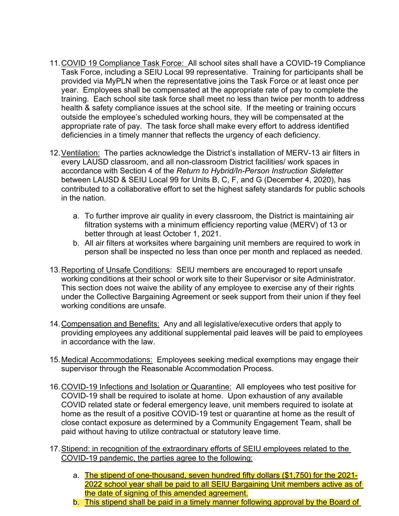- 11.COVID 19 Compliance Task Force: All school sites shall have a COVID-19 Compliance Task Force, including a SEIU Local 99 representative. Training for participants shall be provided via MyPLN when the representative joins the Task Force or at least once per year. Employees shall be compensated at the appropriate rate of pay to complete the training. Each school site task force shall meet no less than twice per month to address health & safety compliance issues at the school site. If the meeting or training occurs outside the employee's scheduled working hours, they will be compensated at the appropriate rate of pay. The task force shall make every effort to address identified deficiencies in a timely manner that reflects the urgency of each deficiency.
- 12. Ventilation: The parties acknowledge the District's installation of MERV-13 air filters in every LAUSD classroom, and all non-classroom District facilities/ work spaces in accordance with Section 4 of the *Return to Hybrid/In-Person Instruction Sideletter*  between LAUSD & SEIU Local 99 for Units B, C, F, and G (December 4, 2020), has contributed to a collaborative effort to set the highest safety standards for public schools in the nation.
	- a. To further improve air quality in every classroom, the District is maintaining air filtration systems with a minimum efficiency reporting value (MERV) of 13 or better through at least October 1, 2021.
	- b. All air filters at worksites where bargaining unit members are required to work in person shall be inspected no less than once per month and replaced as needed.
- 13.Reporting of Unsafe Conditions: SEIU members are encouraged to report unsafe working conditions at their school or work site to their Supervisor or site Administrator. This section does not waive the ability of any employee to exercise any of their rights under the Collective Bargaining Agreement or seek support from their union if they feel working conditions are unsafe*.*
- 14.Compensation and Benefits: Any and all legislative/executive orders that apply to providing employees any additional supplemental paid leaves will be paid to employees in accordance with the law.
- 15. Medical Accommodations: Employees seeking medical exemptions may engage their supervisor through the Reasonable Accommodation Process.
- 16. COVID-19 Infections and Isolation or Quarantine: All employees who test positive for COVID-19 shall be required to isolate at home. Upon exhaustion of any available COVID related state or federal emergency leave, unit members required to isolate at home as the result of a positive COVID-19 test or quarantine at home as the result of close contact exposure as determined by a Community Engagement Team, shall be paid without having to utilize contractual or statutory leave time.
- 17.Stipend: in recognition of the extraordinary efforts of SEIU employees related to the COVID-19 pandemic, the parties agree to the following:
	- a. The stipend of one-thousand, seven hundred fifty dollars (\$1,750) for the 2021-2022 school year shall be paid to all SEIU Bargaining Unit members active as of the date of signing of this amended agreement.
	- b. This stipend shall be paid in a timely manner following approval by the Board of